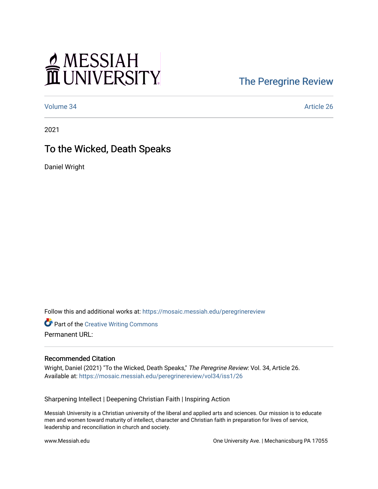# MESSIAH

## [The Peregrine Review](https://mosaic.messiah.edu/peregrinereview)

[Volume 34](https://mosaic.messiah.edu/peregrinereview/vol34) [Article 26](https://mosaic.messiah.edu/peregrinereview/vol34/iss1/26) 

2021

### To the Wicked, Death Speaks

Daniel Wright

Follow this and additional works at: [https://mosaic.messiah.edu/peregrinereview](https://mosaic.messiah.edu/peregrinereview?utm_source=mosaic.messiah.edu%2Fperegrinereview%2Fvol34%2Fiss1%2F26&utm_medium=PDF&utm_campaign=PDFCoverPages) 

**Part of the Creative Writing Commons** Permanent URL:

#### Recommended Citation

Wright, Daniel (2021) "To the Wicked, Death Speaks," The Peregrine Review: Vol. 34, Article 26. Available at: [https://mosaic.messiah.edu/peregrinereview/vol34/iss1/26](https://mosaic.messiah.edu/peregrinereview/vol34/iss1/26?utm_source=mosaic.messiah.edu%2Fperegrinereview%2Fvol34%2Fiss1%2F26&utm_medium=PDF&utm_campaign=PDFCoverPages)

Sharpening Intellect | Deepening Christian Faith | Inspiring Action

Messiah University is a Christian university of the liberal and applied arts and sciences. Our mission is to educate men and women toward maturity of intellect, character and Christian faith in preparation for lives of service, leadership and reconciliation in church and society.

www.Messiah.edu One University Ave. | Mechanicsburg PA 17055